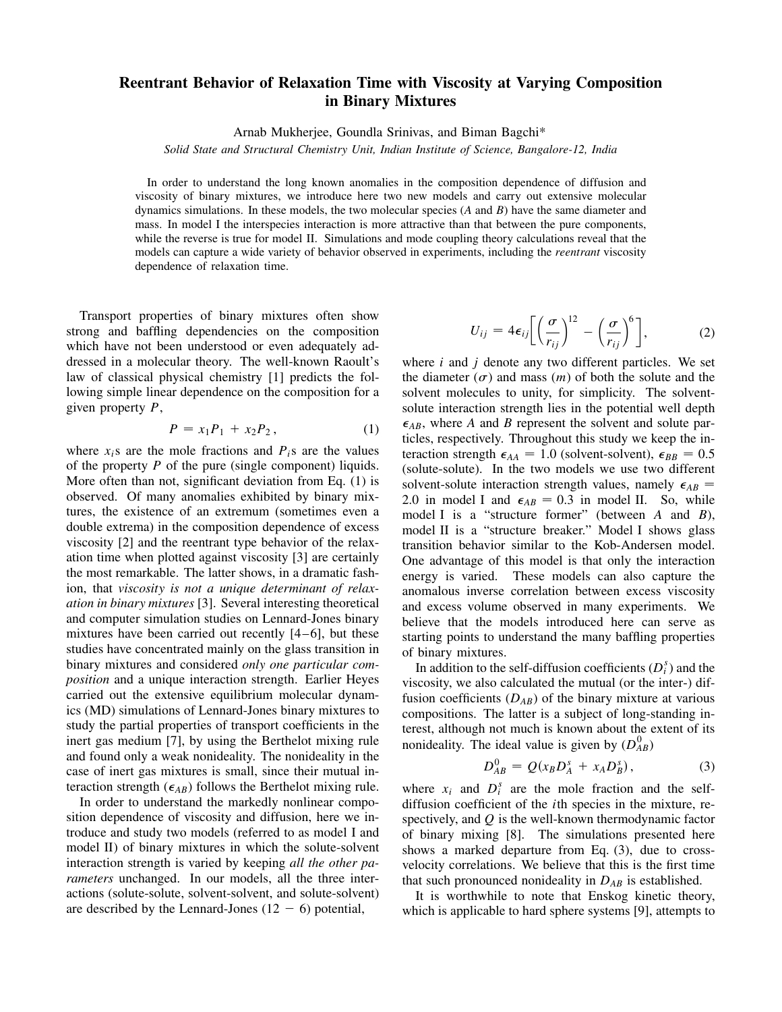## **Reentrant Behavior of Relaxation Time with Viscosity at Varying Composition in Binary Mixtures**

Arnab Mukherjee, Goundla Srinivas, and Biman Bagchi\*

*Solid State and Structural Chemistry Unit, Indian Institute of Science, Bangalore-12, India*

In order to understand the long known anomalies in the composition dependence of diffusion and viscosity of binary mixtures, we introduce here two new models and carry out extensive molecular dynamics simulations. In these models, the two molecular species (*A* and *B*) have the same diameter and mass. In model I the interspecies interaction is more attractive than that between the pure components, while the reverse is true for model II. Simulations and mode coupling theory calculations reveal that the models can capture a wide variety of behavior observed in experiments, including the *reentrant* viscosity dependence of relaxation time.

Transport properties of binary mixtures often show strong and baffling dependencies on the composition which have not been understood or even adequately addressed in a molecular theory. The well-known Raoult's law of classical physical chemistry [1] predicts the following simple linear dependence on the composition for a given property *P*,

$$
P = x_1 P_1 + x_2 P_2, \t\t(1)
$$

where  $x_i$ s are the mole fractions and  $P_i$ s are the values of the property *P* of the pure (single component) liquids. More often than not, significant deviation from Eq. (1) is observed. Of many anomalies exhibited by binary mixtures, the existence of an extremum (sometimes even a double extrema) in the composition dependence of excess viscosity [2] and the reentrant type behavior of the relaxation time when plotted against viscosity [3] are certainly the most remarkable. The latter shows, in a dramatic fashion, that *viscosity is not a unique determinant of relaxation in binary mixtures* [3]. Several interesting theoretical and computer simulation studies on Lennard-Jones binary mixtures have been carried out recently [4–6], but these studies have concentrated mainly on the glass transition in binary mixtures and considered *only one particular composition* and a unique interaction strength. Earlier Heyes carried out the extensive equilibrium molecular dynamics (MD) simulations of Lennard-Jones binary mixtures to study the partial properties of transport coefficients in the inert gas medium [7], by using the Berthelot mixing rule and found only a weak nonideality. The nonideality in the case of inert gas mixtures is small, since their mutual interaction strength  $(\epsilon_{AB})$  follows the Berthelot mixing rule.

In order to understand the markedly nonlinear composition dependence of viscosity and diffusion, here we introduce and study two models (referred to as model I and model II) of binary mixtures in which the solute-solvent interaction strength is varied by keeping *all the other parameters* unchanged. In our models, all the three interactions (solute-solute, solvent-solvent, and solute-solvent) are described by the Lennard-Jones  $(12 - 6)$  potential,

$$
U_{ij} = 4\epsilon_{ij} \left[ \left( \frac{\sigma}{r_{ij}} \right)^{12} - \left( \frac{\sigma}{r_{ij}} \right)^6 \right],
$$
 (2)

where *i* and *j* denote any two different particles. We set the diameter  $(\sigma)$  and mass  $(m)$  of both the solute and the solvent molecules to unity, for simplicity. The solventsolute interaction strength lies in the potential well depth  $\epsilon_{AB}$ , where *A* and *B* represent the solvent and solute particles, respectively. Throughout this study we keep the interaction strength  $\epsilon_{AA} = 1.0$  (solvent-solvent),  $\epsilon_{BB} = 0.5$ (solute-solute). In the two models we use two different solvent-solute interaction strength values, namely  $\epsilon_{AB}$  = 2.0 in model I and  $\epsilon_{AB} = 0.3$  in model II. So, while model I is a "structure former" (between *A* and *B*), model II is a "structure breaker." Model I shows glass transition behavior similar to the Kob-Andersen model. One advantage of this model is that only the interaction energy is varied. These models can also capture the anomalous inverse correlation between excess viscosity and excess volume observed in many experiments. We believe that the models introduced here can serve as starting points to understand the many baffling properties of binary mixtures.

In addition to the self-diffusion coefficients  $(D_i^s)$  and the viscosity, we also calculated the mutual (or the inter-) diffusion coefficients  $(D_{AB})$  of the binary mixture at various compositions. The latter is a subject of long-standing interest, although not much is known about the extent of its nonideality. The ideal value is given by  $(D_{AB}^0)$ 

$$
D_{AB}^0 = Q(x_B D_A^s + x_A D_B^s), \tag{3}
$$

where  $x_i$  and  $D_i^s$  are the mole fraction and the selfdiffusion coefficient of the *i*th species in the mixture, respectively, and *Q* is the well-known thermodynamic factor of binary mixing [8]. The simulations presented here shows a marked departure from Eq. (3), due to crossvelocity correlations. We believe that this is the first time that such pronounced nonideality in  $D_{AB}$  is established.

It is worthwhile to note that Enskog kinetic theory, which is applicable to hard sphere systems [9], attempts to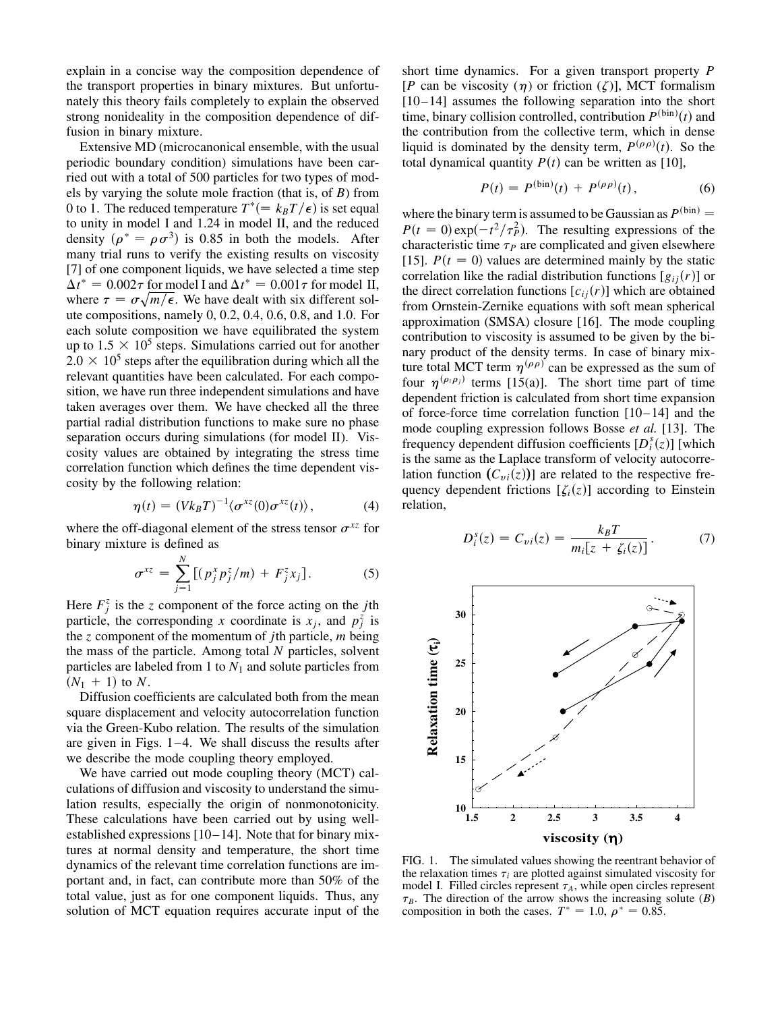explain in a concise way the composition dependence of the transport properties in binary mixtures. But unfortunately this theory fails completely to explain the observed strong nonideality in the composition dependence of diffusion in binary mixture.

Extensive MD (microcanonical ensemble, with the usual periodic boundary condition) simulations have been carried out with a total of 500 particles for two types of models by varying the solute mole fraction (that is, of *B*) from 0 to 1. The reduced temperature  $T^* (= k_B T / \epsilon)$  is set equal to unity in model I and 1.24 in model II, and the reduced density  $(\rho^* = \rho \sigma^3)$  is 0.85 in both the models. After many trial runs to verify the existing results on viscosity [7] of one component liquids, we have selected a time step  $\Delta t^* = 0.002\tau$  for model I and  $\Delta t^* = 0.001\tau$  for model II, where  $\tau = \sigma \sqrt{m/\epsilon}$ . We have dealt with six different solute compositions, namely 0, 0.2, 0.4, 0.6, 0.8, and 1.0. For each solute composition we have equilibrated the system up to  $1.5 \times 10^5$  steps. Simulations carried out for another  $2.0 \times 10^5$  steps after the equilibration during which all the relevant quantities have been calculated. For each composition, we have run three independent simulations and have taken averages over them. We have checked all the three partial radial distribution functions to make sure no phase separation occurs during simulations (for model II). Viscosity values are obtained by integrating the stress time correlation function which defines the time dependent viscosity by the following relation:

$$
\eta(t) = (Vk_BT)^{-1} \langle \sigma^{xz}(0) \sigma^{xz}(t) \rangle, \qquad (4)
$$

where the off-diagonal element of the stress tensor  $\sigma^{xz}$  for binary mixture is defined as

$$
\sigma^{xz} = \sum_{j=1}^{N} \left[ (p_j^x p_j^z / m) + F_j^z x_j \right]. \tag{5}
$$

Here  $F_j^z$  is the *z* component of the force acting on the *j*th particle, the corresponding *x* coordinate is  $x_j$ , and  $p_j^{\zeta}$  is the *z* component of the momentum of *j*th particle, *m* being the mass of the particle. Among total *N* particles, solvent particles are labeled from 1 to *N*<sup>1</sup> and solute particles from  $(N_1 + 1)$  to *N*.

Diffusion coefficients are calculated both from the mean square displacement and velocity autocorrelation function via the Green-Kubo relation. The results of the simulation are given in Figs. 1–4. We shall discuss the results after we describe the mode coupling theory employed.

We have carried out mode coupling theory (MCT) calculations of diffusion and viscosity to understand the simulation results, especially the origin of nonmonotonicity. These calculations have been carried out by using wellestablished expressions [10–14]. Note that for binary mixtures at normal density and temperature, the short time dynamics of the relevant time correlation functions are important and, in fact, can contribute more than 50% of the total value, just as for one component liquids. Thus, any solution of MCT equation requires accurate input of the short time dynamics. For a given transport property *P* [*P* can be viscosity ( $\eta$ ) or friction ( $\zeta$ )], MCT formalism [10–14] assumes the following separation into the short time, binary collision controlled, contribution  $P^{(\text{bin})}(t)$  and the contribution from the collective term, which in dense liquid is dominated by the density term,  $P^{(\rho\rho)}(t)$ . So the total dynamical quantity  $P(t)$  can be written as [10],

$$
P(t) = P^{(\text{bin})}(t) + P^{(\rho \rho)}(t), \qquad (6)
$$

where the binary term is assumed to be Gaussian as  $P^{(\text{bin})} =$  $P(t = 0) \exp(-t^2/\tau_P^2)$ . The resulting expressions of the characteristic time  $\tau_P$  are complicated and given elsewhere [15].  $P(t = 0)$  values are determined mainly by the static correlation like the radial distribution functions  $[g_{ij}(r)]$  or the direct correlation functions  $[c_{ij}(r)]$  which are obtained from Ornstein-Zernike equations with soft mean spherical approximation (SMSA) closure [16]. The mode coupling contribution to viscosity is assumed to be given by the binary product of the density terms. In case of binary mixture total MCT term  $\eta^{(\rho\rho)}$  can be expressed as the sum of four  $\eta^{(\rho_i \rho_j)}$  terms [15(a)]. The short time part of time dependent friction is calculated from short time expansion of force-force time correlation function [10–14] and the mode coupling expression follows Bosse *et al.* [13]. The frequency dependent diffusion coefficients  $[D_i^s(z)]$  [which is the same as the Laplace transform of velocity autocorrelation function  $(C_{vi}(z))$  are related to the respective frequency dependent frictions  $[\zeta_i(z)]$  according to Einstein relation,

$$
D_i^s(z) = C_{vi}(z) = \frac{k_B T}{m_i [z + \zeta_i(z)]}.
$$
 (7)



FIG. 1. The simulated values showing the reentrant behavior of the relaxation times  $\tau_i$  are plotted against simulated viscosity for model I. Filled circles represent  $\tau_A$ , while open circles represent  $\tau_B$ . The direction of the arrow shows the increasing solute (*B*) composition in both the cases.  $T^* = 1.0$ ,  $\rho^* = 0.85$ .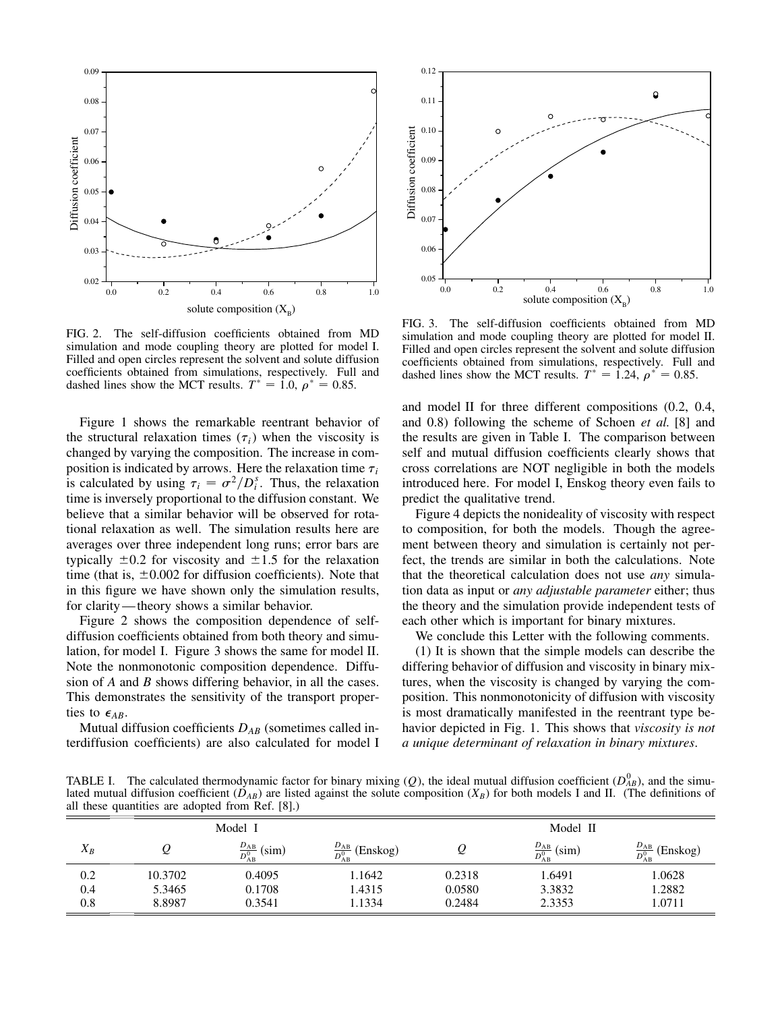

FIG. 2. The self-diffusion coefficients obtained from MD simulation and mode coupling theory are plotted for model I. Filled and open circles represent the solvent and solute diffusion coefficients obtained from simulations, respectively. Full and dashed lines show the MCT results.  $T^* = 1.0$ ,  $\rho^* = 0.85$ .

Figure 1 shows the remarkable reentrant behavior of the structural relaxation times  $(\tau_i)$  when the viscosity is changed by varying the composition. The increase in composition is indicated by arrows. Here the relaxation time  $\tau_i$ is calculated by using  $\tau_i = \sigma^2/D_i^s$ . Thus, the relaxation time is inversely proportional to the diffusion constant. We believe that a similar behavior will be observed for rotational relaxation as well. The simulation results here are averages over three independent long runs; error bars are typically  $\pm 0.2$  for viscosity and  $\pm 1.5$  for the relaxation time (that is,  $\pm 0.002$  for diffusion coefficients). Note that in this figure we have shown only the simulation results, for clarity—theory shows a similar behavior.

Figure 2 shows the composition dependence of selfdiffusion coefficients obtained from both theory and simulation, for model I. Figure 3 shows the same for model II. Note the nonmonotonic composition dependence. Diffusion of *A* and *B* shows differing behavior, in all the cases. This demonstrates the sensitivity of the transport properties to  $\epsilon_{AB}$ .

Mutual diffusion coefficients *DAB* (sometimes called interdiffusion coefficients) are also calculated for model I



FIG. 3. The self-diffusion coefficients obtained from MD simulation and mode coupling theory are plotted for model II. Filled and open circles represent the solvent and solute diffusion coefficients obtained from simulations, respectively. Full and dashed lines show the MCT results.  $T^* = 1.24$ ,  $\rho^* = 0.85$ .

and model II for three different compositions (0.2, 0.4, and 0.8) following the scheme of Schoen *et al.* [8] and the results are given in Table I. The comparison between self and mutual diffusion coefficients clearly shows that cross correlations are NOT negligible in both the models introduced here. For model I, Enskog theory even fails to predict the qualitative trend.

Figure 4 depicts the nonideality of viscosity with respect to composition, for both the models. Though the agreement between theory and simulation is certainly not perfect, the trends are similar in both the calculations. Note that the theoretical calculation does not use *any* simulation data as input or *any adjustable parameter* either; thus the theory and the simulation provide independent tests of each other which is important for binary mixtures.

We conclude this Letter with the following comments.

(1) It is shown that the simple models can describe the differing behavior of diffusion and viscosity in binary mixtures, when the viscosity is changed by varying the composition. This nonmonotonicity of diffusion with viscosity is most dramatically manifested in the reentrant type behavior depicted in Fig. 1. This shows that *viscosity is not a unique determinant of relaxation in binary mixtures*.

TABLE I. The calculated thermodynamic factor for binary mixing  $(Q)$ , the ideal mutual diffusion coefficient  $(D_{AB}^0)$ , and the simulated mutual diffusion coefficient  $(D_{AB})$  are listed against the solute composition  $(X_B)$  for both models I and II. (The definitions of all these quantities are adopted from Ref. [8].)

| Model I |         |                                 |                                    | Model II |                                 |                                    |
|---------|---------|---------------------------------|------------------------------------|----------|---------------------------------|------------------------------------|
| $X_B$   |         | $\frac{D_{AB}}{D_{AB}^0}$ (sim) | $\frac{D_{AB}}{D_{AB}^0}$ (Enskog) | ⊵        | $\frac{D_{AB}}{D_{AB}^0}$ (sim) | $\frac{D_{AB}}{D_{AB}^0}$ (Enskog) |
| 0.2     | 10.3702 | 0.4095                          | 1.1642                             | 0.2318   | 1.6491                          | 1.0628                             |
| 0.4     | 5.3465  | 0.1708                          | 1.4315                             | 0.0580   | 3.3832                          | 1.2882                             |
| 0.8     | 8.8987  | 0.3541                          | 1.1334                             | 0.2484   | 2.3353                          | 1.0711                             |